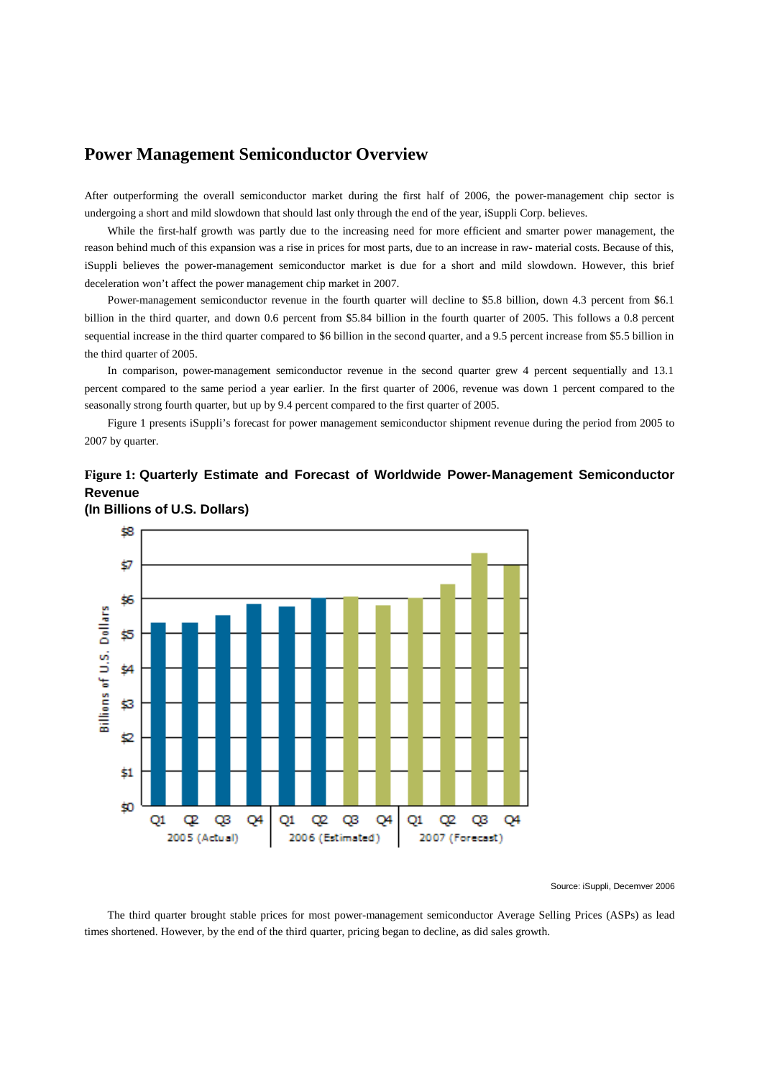## **Power Management Semiconductor Overview**

After outperforming the overall semiconductor market during the first half of 2006, the power-management chip sector is undergoing a short and mild slowdown that should last only through the end of the year, iSuppli Corp. believes.

While the first-half growth was partly due to the increasing need for more efficient and smarter power management, the reason behind much of this expansion was a rise in prices for most parts, due to an increase in raw- material costs. Because of this, iSuppli believes the power-management semiconductor market is due for a short and mild slowdown. However, this brief deceleration won't affect the power management chip market in 2007.

Power-management semiconductor revenue in the fourth quarter will decline to \$5.8 billion, down 4.3 percent from \$6.1 billion in the third quarter, and down 0.6 percent from \$5.84 billion in the fourth quarter of 2005. This follows a 0.8 percent sequential increase in the third quarter compared to \$6 billion in the second quarter, and a 9.5 percent increase from \$5.5 billion in the third quarter of 2005.

In comparison, power-management semiconductor revenue in the second quarter grew 4 percent sequentially and 13.1 percent compared to the same period a year earlier. In the first quarter of 2006, revenue was down 1 percent compared to the seasonally strong fourth quarter, but up by 9.4 percent compared to the first quarter of 2005.

Figure 1 presents iSuppli's forecast for power management semiconductor shipment revenue during the period from 2005 to 2007 by quarter.

## **Figure 1: Quarterly Estimate and Forecast of Worldwide Power-Management Semiconductor Revenue**



**(In Billions of U.S. Dollars)**

## Source: iSuppli, Decemver 2006

The third quarter brought stable prices for most power-management semiconductor Average Selling Prices (ASPs) as lead times shortened. However, by the end of the third quarter, pricing began to decline, as did sales growth.